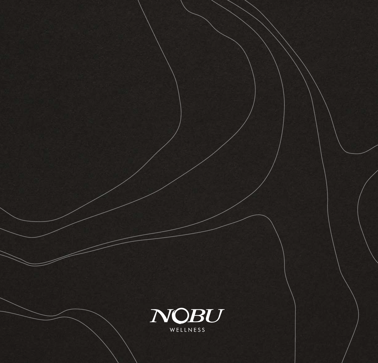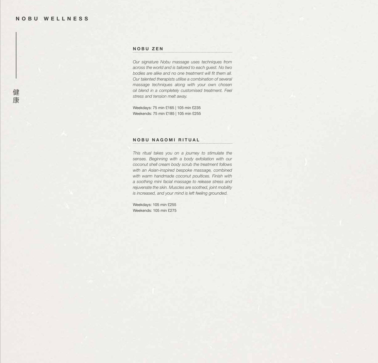# **NOBU ZEN**

*Our signature Nobu massage uses techniques from across the world and is tailored to each guest. No two bodies are alike and no one treatment will fit them all. Our talented therapists utilise a combination of several massage techniques along with your own chosen oil blend in a completely customised treatment. Feel stress and tension melt away.* 

Weekdays: 75 min £165 | 105 min £235 Weekends: 75 min £185 | 105 min £255

## **NOBU NAGOMI RITUAL**

*This ritual takes you on a journey to stimulate the senses. Beginning with a body exfoliation with our coconut shell cream body scrub the treatment follows with an Asian-inspired bespoke massage, combined with warm handmade coconut poultices. Finish with a soothing mini facial massage to release stress and rejuvenate the skin. Muscles are soothed, joint mobility is increased, and your mind is left feeling grounded.*

Weekdays: 105 min £255 Weekends: 105 min £275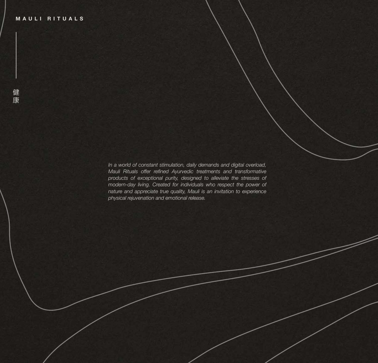*In a world of constant stimulation, daily demands and digital overload, Mauli Rituals offer refined Ayurvedic treatments and transformative products of exceptional purity, designed to alleviate the stresses of modern-day living. Created for individuals who respect the power of nature and appreciate true quality, Mauli is an invitation to experience physical rejuvenation and emotional release.*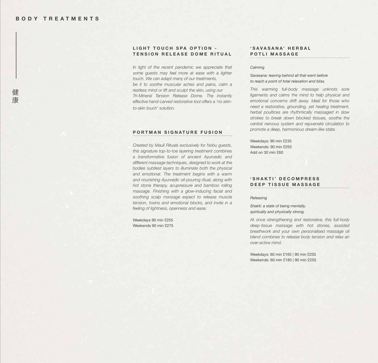## **LIGHT TOUCH SPA OPTION -TENSION RELEASE DOME RITUAL**

*In light of the recent pandemic we appreciate that some guests may feel more at ease with a lighter touch. We can adapt many of our treatments, be it to soothe muscular aches and pains, calm a restless mind or lift and sculpt the skin, using our Tri-Mineral Tension Release Dome. The instantly effective hand-carved restorative tool offers a 'no skinto-skin touch' solution.*

## **PORTMAN SIGNATURE FUSION**

*Created by Mauli Rituals exclusively for Nobu guests, this signature top-to-toe layering treatment combines a transformative fusion of ancient Ayurvedic and different massage techniques, designed to work at the bodies subtlest layers to illuminate both the physical and emotional. The treatment begins with a warm and nourishing Ayurvedic oil-pouring ritual, along with hot stone therapy, acupressure and bamboo rolling massage. Finishing with a glow-inducing facial and soothing scalp massage expect to release muscle tension, toxins and emotional blocks, and invite in a feeling of lightness, openness and ease.*

Weekdays 90 min £255 Weekends 90 min £275

#### **' S A V A S A N A ' H E R B A L POTLI MASSAGE**

#### *Calming*

*Savasana: leaving behind all that went before to reach a point of total relaxation and bliss.* 

*This warming full-body massage unknots sore ligaments and calms the mind to help physical and emotional concerns drift away. Ideal for those who need a restorative, grounding, yet healing treatment, herbal poultices are rhythmically massaged in slow strokes to break down blocked tissues, soothe the central nervous system and rejuvenate circulation to promote a deep, harmonious dream-like state.* 

Weekdays: 90 min £235 Weekends: 90 min £255 Add on 30 min £60

## **' S H A K T I ' D E C O M P R E S S DEEP TISSUE MASSAGE**

#### *Releasing*

*Shakti: a state of being mentally, spiritually and physically strong.* 

*At once strengthening and restorative, this full-body deep-tissue massage with hot stones, assisted breathwork and your own personalised massage oil blend combines to release body tension and relax an over-active mind.*

Weekdays: 60 min £165 | 90 min £235 Weekends: 60 min £185 | 90 min £255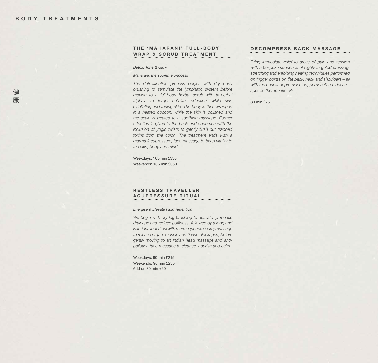健 康 **T H E ' M A H A R A N I ' F U L L - B O D Y WRAP & SCRUB TREATMENT** 

*Detox, Tone & Glow* 

*Maharani: the supreme princess*

*The detoxification process begins with dry body brushing to stimulate the lymphatic system before moving to a full-body herbal scrub with tri-herbal triphala to target cellulite reduction, while also exfoliating and toning skin. The body is then wrapped in a heated cocoon, while the skin is polished and the scalp is treated to a soothing massage. Further attention is given to the back and abdomen with the inclusion of yogic twists to gently flush out trapped toxins from the colon. The treatment ends with a marma (acupressure) face massage to bring vitality to the skin, body and mind.* 

Weekdays: 165 min £330 Weekends: 165 min £350

## **R E S T L E S S T R A V E L L E R A C U P R E S S U R E R I T U A L**

#### *Energise & Elevate Fluid Retention*

*We begin with dry leg brushing to activate lymphatic drainage and reduce puffiness, followed by a long and luxurious foot ritual with marma (acupressure) massage to release organ, muscle and tissue blockages, before gently moving to an Indian head massage and antipollution face massage to cleanse, nourish and calm.* 

. . . . . . . . . . . . . . . .

Weekdays: 90 min £215 Weekends: 90 min £235 Add on 30 min £60

### **D E C O M P R E S S B A C K M A S S A G E**

*Bring immediate relief to areas of pain and tension with a bespoke sequence of highly targeted pressing, stretching and enfolding healing techniques performed on trigger points on the back, neck and shoulders – all with the benefit of pre-selected, personalised 'dosha' specific therapeutic oils.*

30 min £75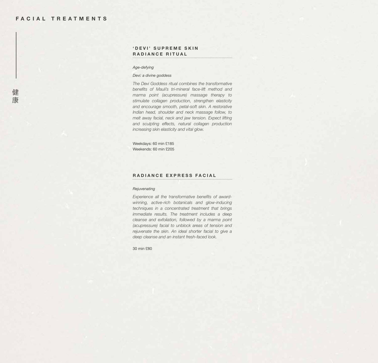#### 'DEVI' SUPREME SKIN **R A D I A N C E R I T U A L**

*Age-defying* 

*Devi: a divine goddess* 

*The Devi Goddess ritual combines the transformative benefits of Mauli's tri-mineral face-lift method and marma point (acupressure) massage therapy to stimulate collagen production, strengthen elasticity and encourage smooth, petal-soft skin. A restorative Indian head, shoulder and neck massage follow, to melt away facial, neck and jaw tension. Expect lifting and sculpting effects, natural collagen production increasing skin elasticity and vital glow.* 

Weekdays: 60 min £185 Weekends: 60 min £205

### **RADIANCE EXPRESS FACIAL**

#### *Rejuvenating*

*Experience all the transformative benefits of awardwinning, active-rich botanicals and glow-inducing techniques in a concentrated treatment that brings immediate results. The treatment includes a deep cleanse and exfoliation, followed by a marma point (acupressure) facial to unblock areas of tension and rejuvenate the skin. An ideal shorter facial to give a deep cleanse and an instant fresh-faced look.* 

30 min £80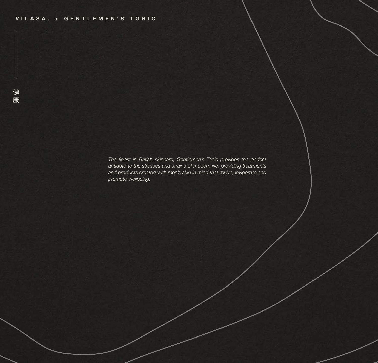*The finest in British skincare, Gentlemen's Tonic provides the perfect antidote to the stresses and strains of modern life, providing treatments and products created with men's skin in mind that revive, invigorate and promote wellbeing.*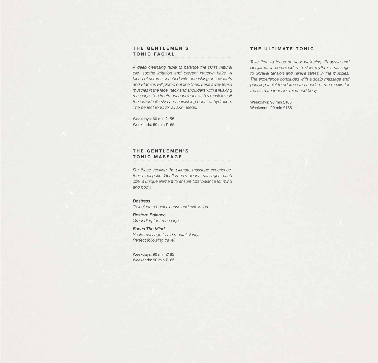### **T H E G E N T L E M E N ' S TONIC FACIAL**

*A deep cleansing facial to balance the skin's natural oils, soothe irritation and prevent ingrown hairs. A blend of serums enriched with nourishing antioxidants and vitamins will plump out fine lines. Ease away tense muscles in the face, neck and shoulders with a relaxing massage. The treatment concludes with a mask to suit the individual's skin and a finishing boost of hydration. The perfect tonic for all skin needs.*

Weekdays: 60 min £155 Weekends: 60 min £165

# **THE GENTLEMEN'S T O N I C M A S S A G E**

*For those seeking the ultimate massage experience, these bespoke Gentlemen's Tonic massages each offer a unique element to ensure total balance for mind and body.*

# *Destress*

*To include a back cleanse and exfoliation.*

## *Restore Balance Grounding foot massage.*

*Focus The Mind Scalp massage to aid mental clarity. Perfect following travel.*

Weekdays: 90 min £165 Weekends: 90 min £185

## **THE ULTIMATE TONIC**

*Take time to focus on your wellbeing. Babassu and Bergamot is combined with slow rhythmic massage to unravel tension and relieve stress in the muscles. The experience concludes with a scalp massage and purifying facial to address the needs of men's skin for the ultimate tonic for mind and body.*

Weekdays: 90 min £165 Weekends: 90 min £185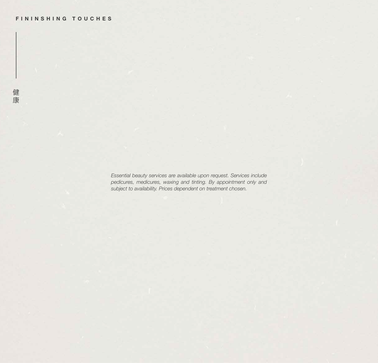*Essential beauty services are available upon request. Services include pedicures, medicures, waxing and tinting. By appointment only and subject to availability. Prices dependent on treatment chosen.*